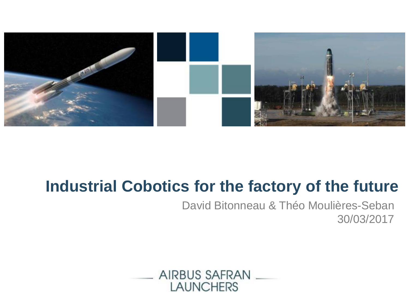

## **Industrial Cobotics for the factory of the future**

David Bitonneau & Théo Moulières-Seban 30/03/2017

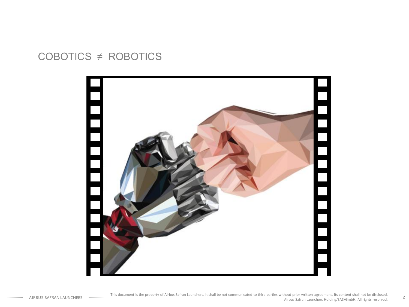## COBOTICS ≠ ROBOTICS

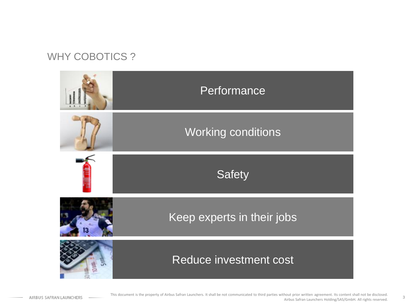## WHY COBOTICS ?

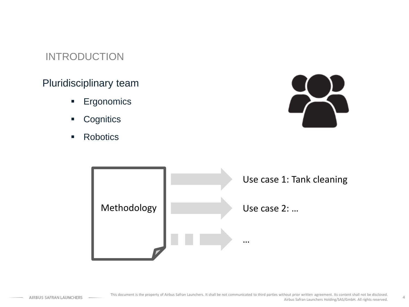## INTRODUCTION

## Pluridisciplinary team

- **Ergonomics**
- **Cognitics**
- Robotics



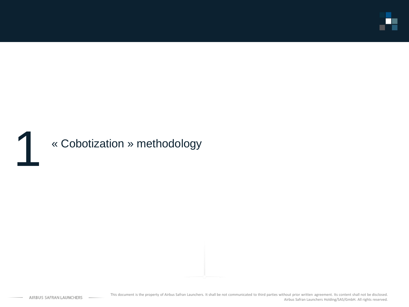

# 1 « Cobotization » methodology

AIRBUS SAFRAN LAUNCHERS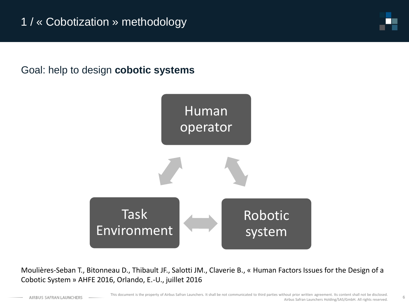## Goal: help to design **cobotic systems**



Moulières-Seban T., Bitonneau D., Thibault JF., Salotti JM., Claverie B., « Human Factors Issues for the Design of a Cobotic System » AHFE 2016, Orlando, E.-U., juillet 2016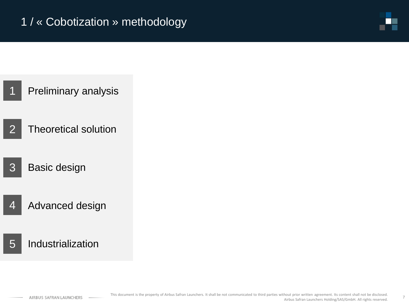

- Preliminary analysis 1
- Theoretical solution  $\mathcal{P}$
- Basic design 3
- Advanced design 4
- Industrialization 5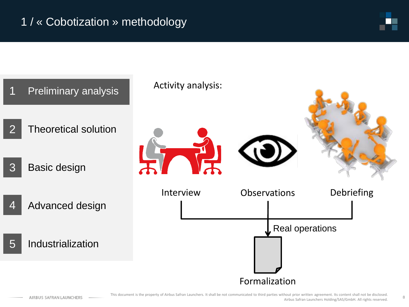



This document is the property of Airbus Safran Launchers. It shall be not communicated to third parties without prior written agreement. Its content shall not be disclosed. Airbus Safran Launchers Holding/SAS/GmbH. All rights reserved.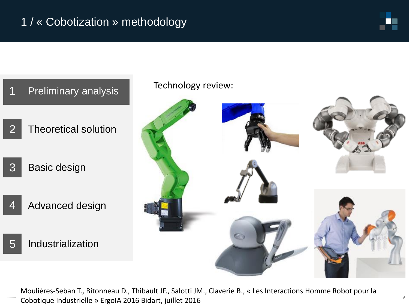

#### Preliminary analysis 1

- Theoretical solution 2
- Basic design 3
- Advanced design 4
- Industrialization 5

Technology review:



Moulières-Seban T., Bitonneau D., Thibault JF., Salotti JM., Claverie B., « Les Interactions Homme Robot pour la Cobotique Industrielle » ErgoIA 2016 Bidart, juillet 2016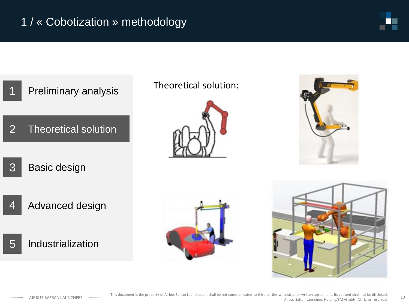

#### Preliminary analysis 1

- Theoretical solution 2
- Basic design 3
- Advanced design  $\angle$
- Industrialization 5

### Theoretical solution:







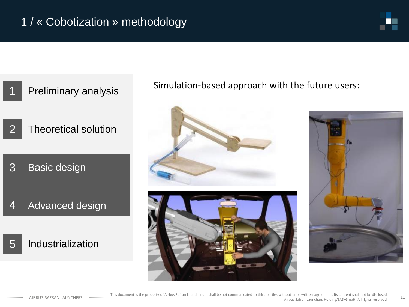

#### Preliminary analysis 1

- Theoretical solution 2
- Basic design 3
- Advanced design 4

#### Industrialization 5

Simulation-based approach with the future users:





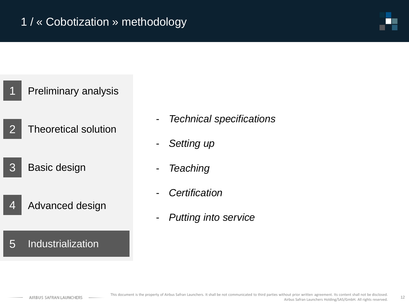#### Preliminary analysis 1

- Theoretical solution  $\mathcal{P}$
- Basic design 3
- Advanced design 4

#### Industrialization 5

- *Technical specifications*
- *Setting up*
- *Teaching*
- *Certification*
- *Putting into service*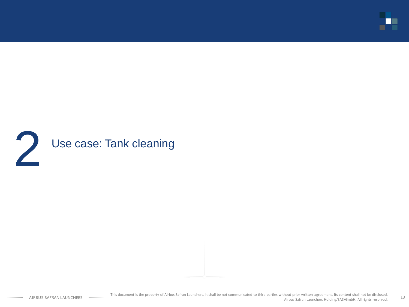

## 2 Use case: Tank cleaning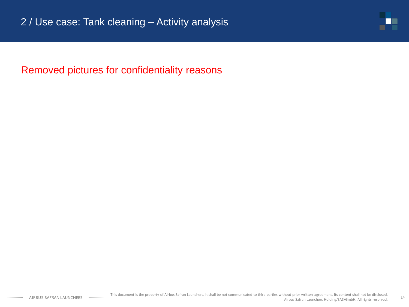

Removed pictures for confidentiality reasons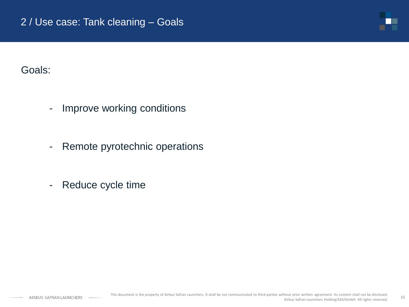

Goals:

- Improve working conditions
- Remote pyrotechnic operations
- Reduce cycle time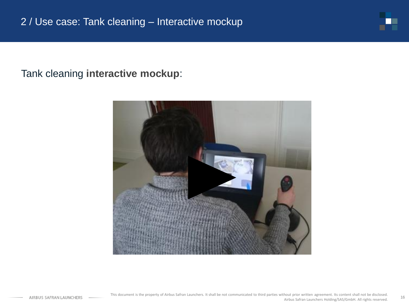

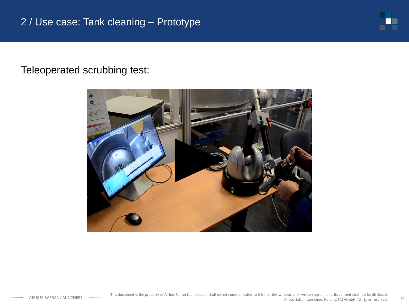

## Teleoperated scrubbing test:

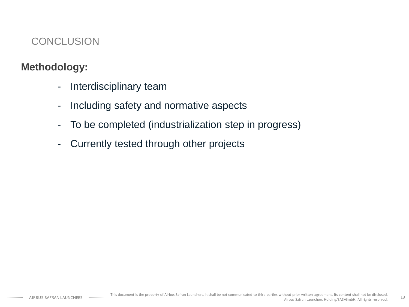## **CONCLUSION**

## **Methodology:**

- Interdisciplinary team
- Including safety and normative aspects
- To be completed (industrialization step in progress)
- Currently tested through other projects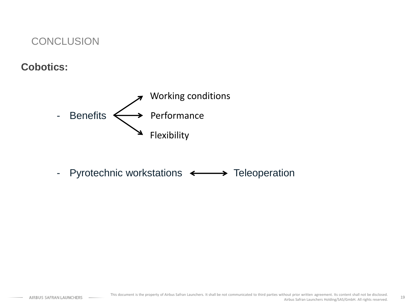### **CONCLUSION**

## **Cobotics:**



- Pyrotechnic workstations  $\leftarrow$   $\rightarrow$  Teleoperation